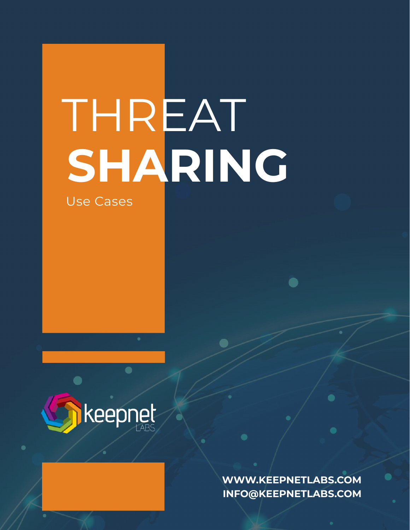# THREAT **SHARING**

Use Cases



**WWW.KEEPNETLABS.COM INFO@KEEPNETLABS.COM**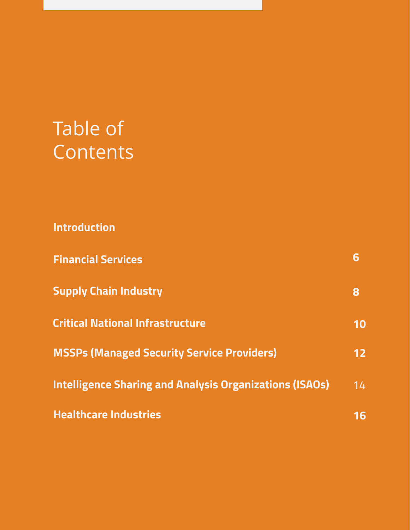## Table of **Contents**

**Introduction**

| <b>Financial Services</b>                                      | 6               |
|----------------------------------------------------------------|-----------------|
| <b>Supply Chain Industry</b>                                   | 8               |
| <b>Critical National Infrastructure</b>                        | 10              |
| <b>MSSPs (Managed Security Service Providers)</b>              | 12 <sub>2</sub> |
| <b>Intelligence Sharing and Analysis Organizations (ISAOs)</b> | 14              |
| <b>Healthcare Industries</b>                                   | 16              |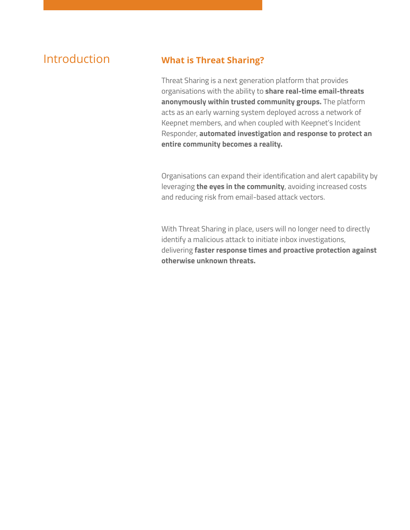#### Introduction **What is Threat Sharing?**

Threat Sharing is a next generation platform that provides organisations with the ability to **share real-time email-threats anonymously within trusted community groups.** The platform acts as an early warning system deployed across a network of Keepnet members, and when coupled with Keepnet's Incident Responder, **automated investigation and response to protect an entire community becomes a reality.**

Organisations can expand their identification and alert capability by leveraging **the eyes in the community**, avoiding increased costs and reducing risk from email-based attack vectors.

With Threat Sharing in place, users will no longer need to directly identify a malicious attack to initiate inbox investigations, delivering **faster response times and proactive protection against otherwise unknown threats.**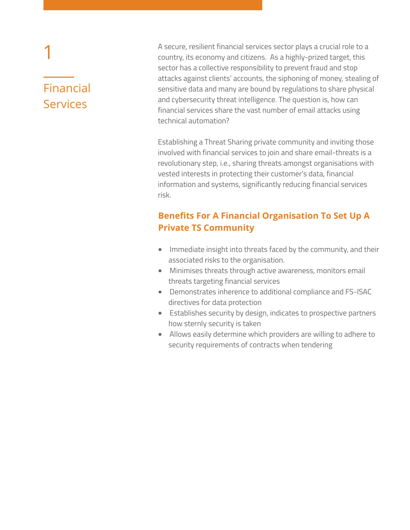### Financial Services

1

A secure, resilient financial services sector plays a crucial role to a country, its economy and citizens. As a highly-prized target, this sector has a collective responsibility to prevent fraud and stop attacks against clients' accounts, the siphoning of money, stealing of sensitive data and many are bound by regulations to share physical and cybersecurity threat intelligence. The question is, how can financial services share the vast number of email attacks using technical automation?

Establishing a Threat Sharing private community and inviting those involved with financial services to join and share email-threats is a revolutionary step, i.e., sharing threats amongst organisations with vested interests in protecting their customer's data, financial information and systems, significantly reducing financial services risk.

#### **Benefits For A Financial Organisation To Set Up A Private TS Community**

- Immediate insight into threats faced by the community, and their associated risks to the organisation.
- Minimises threats through active awareness, monitors email threats targeting financial services
- Demonstrates inherence to additional compliance and FS-ISAC directives for data protection
- Establishes security by design, indicates to prospective partners how sternly security is taken
- Allows easily determine which providers are willing to adhere to security requirements of contracts when tendering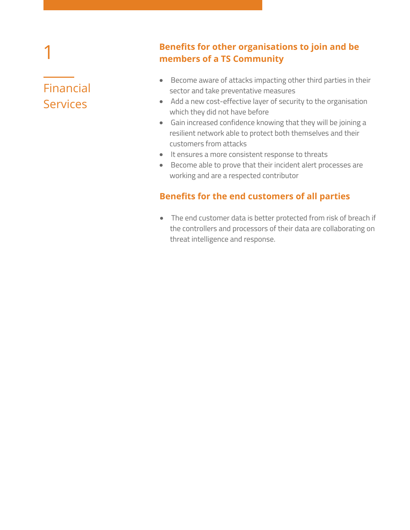## Financial Services

1

#### **Benefits for other organisations to join and be members of a TS Community**

- Become aware of attacks impacting other third parties in their sector and take preventative measures
- Add a new cost-effective layer of security to the organisation which they did not have before
- Gain increased confidence knowing that they will be joining a resilient network able to protect both themselves and their customers from attacks
- $\bullet$  It ensures a more consistent response to threats
- Become able to prove that their incident alert processes are working and are a respected contributor

#### **Benefits for the end customers of all parties**

The end customer data is better protected from risk of breach if the controllers and processors of their data are collaborating on threat intelligence and response.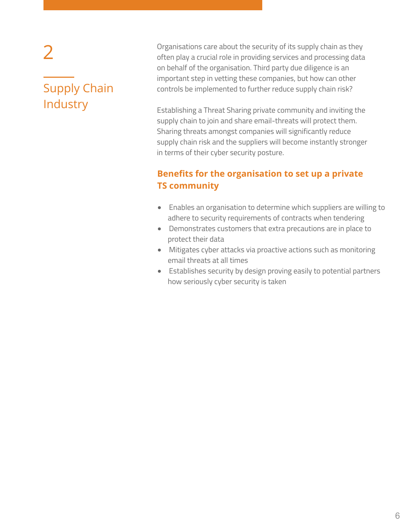# Supply Chain **Industry**

2

Organisations care about the security of its supply chain as they often play a crucial role in providing services and processing data on behalf of the organisation. Third party due diligence is an important step in vetting these companies, but how can other controls be implemented to further reduce supply chain risk?

Establishing a Threat Sharing private community and inviting the supply chain to join and share email-threats will protect them. Sharing threats amongst companies will significantly reduce supply chain risk and the suppliers will become instantly stronger in terms of their cyber security posture.

#### **Benefits for the organisation to set up a private TS community**

- Enables an organisation to determine which suppliers are willing to adhere to security requirements of contracts when tendering
- Demonstrates customers that extra precautions are in place to protect their data
- Mitigates cyber attacks via proactive actions such as monitoring email threats at all times
- Establishes security by design proving easily to potential partners how seriously cyber security is taken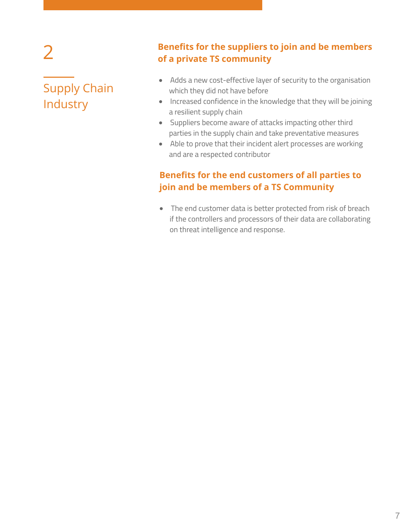#### Supply Chain Industry

#### **Benefits for the suppliers to join and be members of a private TS community**

- Adds a new cost-effective layer of security to the organisation which they did not have before
- Increased confidence in the knowledge that they will be joining a resilient supply chain
- Suppliers become aware of attacks impacting other third parties in the supply chain and take preventative measures
- Able to prove that their incident alert processes are working and are a respected contributor

#### **Benefits for the end customers of all parties to join and be members of a TS Community**

The end customer data is better protected from risk of breach if the controllers and processors of their data are collaborating on threat intelligence and response.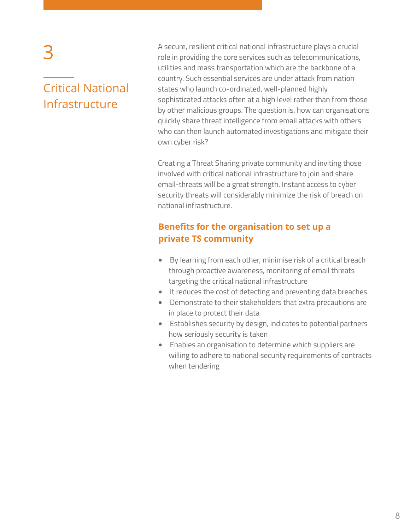#### Critical National Infrastructure

A secure, resilient critical national infrastructure plays a crucial role in providing the core services such as telecommunications, utilities and mass transportation which are the backbone of a country. Such essential services are under attack from nation states who launch co-ordinated, well-planned highly sophisticated attacks often at a high level rather than from those by other malicious groups. The question is, how can organisations quickly share threat intelligence from email attacks with others who can then launch automated investigations and mitigate their own cyber risk?

Creating a Threat Sharing private community and inviting those involved with critical national infrastructure to join and share email-threats will be a great strength. Instant access to cyber security threats will considerably minimize the risk of breach on national infrastructure.

#### **Benefits for the organisation to set up a private TS community**

- By learning from each other, minimise risk of a critical breach through proactive awareness, monitoring of email threats targeting the critical national infrastructure
- It reduces the cost of detecting and preventing data breaches
- Demonstrate to their stakeholders that extra precautions are in place to protect their data
- Establishes security by design, indicates to potential partners how seriously security is taken
- Enables an organisation to determine which suppliers are willing to adhere to national security requirements of contracts when tendering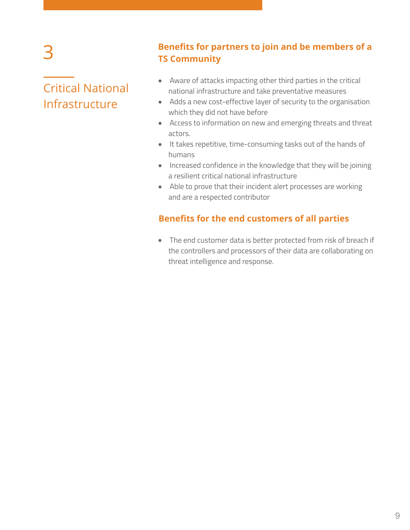#### Critical National Infrastructure

#### **Benefits for partners to join and be members of a TS Community**

- Aware of attacks impacting other third parties in the critical national infrastructure and take preventative measures
- Adds a new cost-effective layer of security to the organisation which they did not have before
- Access to information on new and emerging threats and threat actors.
- It takes repetitive, time-consuming tasks out of the hands of humans
- Increased confidence in the knowledge that they will be joining a resilient critical national infrastructure
- Able to prove that their incident alert processes are working and are a respected contributor

#### **Benefits for the end customers of all parties**

The end customer data is better protected from risk of breach if the controllers and processors of their data are collaborating on threat intelligence and response.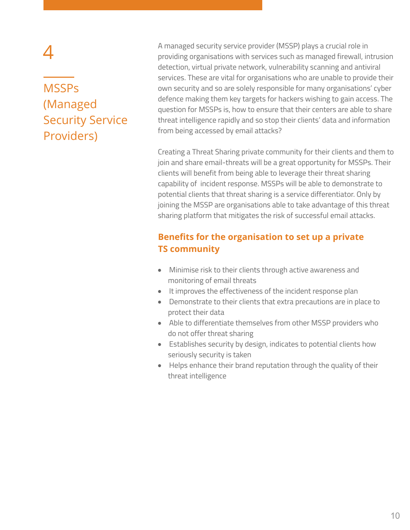#### **MSSPs** (Managed Security Service Providers)

A managed security service provider (MSSP) plays a crucial role in providing organisations with services such as managed firewall, intrusion detection, virtual private network, vulnerability scanning and antiviral services. These are vital for organisations who are unable to provide their own security and so are solely responsible for many organisations' cyber defence making them key targets for hackers wishing to gain access. The question for MSSPs is, how to ensure that their centers are able to share threat intelligence rapidly and so stop their clients' data and information from being accessed by email attacks?

Creating a Threat Sharing private community for their clients and them to join and share email-threats will be a great opportunity for MSSPs. Their clients will benefit from being able to leverage their threat sharing capability of incident response. MSSPs will be able to demonstrate to potential clients that threat sharing is a service differentiator. Only by joining the MSSP are organisations able to take advantage of this threat sharing platform that mitigates the risk of successful email attacks.

#### **Benefits for the organisation to set up a private TS community**

- Minimise risk to their clients through active awareness and monitoring of email threats
- It improves the effectiveness of the incident response plan
- Demonstrate to their clients that extra precautions are in place to protect their data
- Able to differentiate themselves from other MSSP providers who do not offer threat sharing
- Establishes security by design, indicates to potential clients how seriously security is taken
- Helps enhance their brand reputation through the quality of their threat intelligence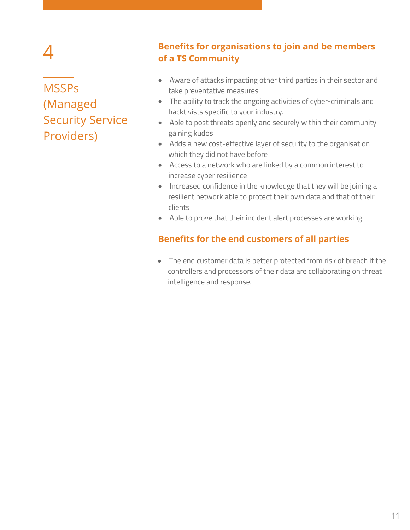### **MSSPs** (Managed Security Service Providers)

#### **Benefits for organisations to join and be members of a TS Community**

- Aware of attacks impacting other third parties in their sector and take preventative measures
- The ability to track the ongoing activities of cyber-criminals and hacktivists specific to your industry.
- Able to post threats openly and securely within their community gaining kudos
- Adds a new cost-effective layer of security to the organisation which they did not have before
- Access to a network who are linked by a common interest to increase cyber resilience
- Increased confidence in the knowledge that they will be joining a resilient network able to protect their own data and that of their clients
- Able to prove that their incident alert processes are working

#### **Benefits for the end customers of all parties**

The end customer data is better protected from risk of breach if the controllers and processors of their data are collaborating on threat intelligence and response.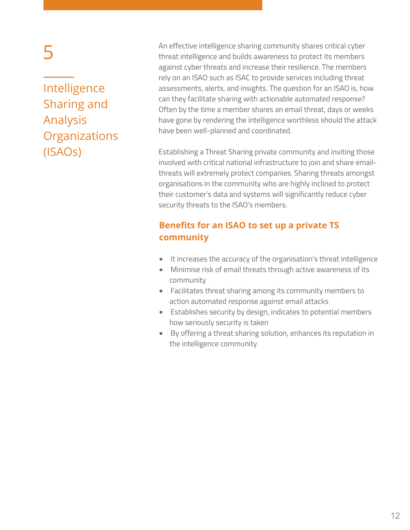Intelligence Sharing and Analysis **Organizations** (ISAOs)

An effective intelligence sharing community shares critical cyber threat intelligence and builds awareness to protect its members against cyber threats and increase their resilience. The members rely on an ISAO such as ISAC to provide services including threat assessments, alerts, and insights. The question for an ISAO is, how can they facilitate sharing with actionable automated response? Often by the time a member shares an email threat, days or weeks have gone by rendering the intelligence worthless should the attack have been well-planned and coordinated.

Establishing a Threat Sharing private community and inviting those involved with critical national infrastructure to join and share emailthreats will extremely protect companies. Sharing threats amongst organisations in the community who are highly inclined to protect their customer's data and systems will significantly reduce cyber security threats to the ISAO's members.

#### **Benefits for an ISAO to set up a private TS community**

- It increases the accuracy of the organisation's threat intelligence
- Minimise risk of email threats through active awareness of its community
- Facilitates threat sharing among its community members to action automated response against email attacks
- Establishes security by design, indicates to potential members how seriously security is taken
- By offering a threat sharing solution, enhances its reputation in the intelligence community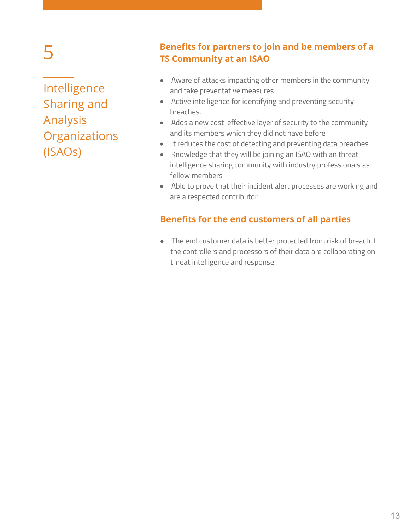Intelligence Sharing and Analysis **Organizations** (ISAOs)

#### **Benefits for partners to join and be members of a TS Community at an ISAO**

- Aware of attacks impacting other members in the community and take preventative measures
- Active intelligence for identifying and preventing security breaches.
- Adds a new cost-effective layer of security to the community and its members which they did not have before
- It reduces the cost of detecting and preventing data breaches
- Knowledge that they will be joining an ISAO with an threat intelligence sharing community with industry professionals as fellow members
- Able to prove that their incident alert processes are working and are a respected contributor

#### **Benefits for the end customers of all parties**

The end customer data is better protected from risk of breach if the controllers and processors of their data are collaborating on threat intelligence and response.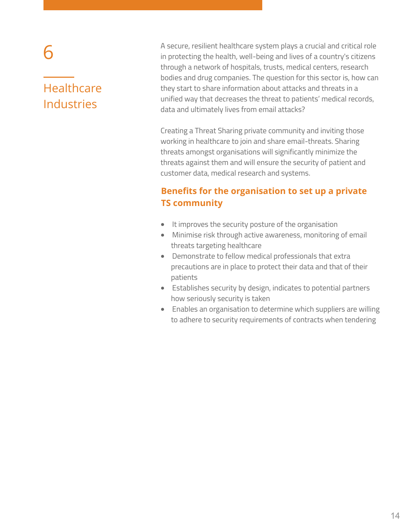#### **Healthcare** Industries

A secure, resilient healthcare system plays a crucial and critical role in protecting the health, well-being and lives of a country's citizens through a network of hospitals, trusts, medical centers, research bodies and drug companies. The question for this sector is, how can they start to share information about attacks and threats in a unified way that decreases the threat to patients' medical records, data and ultimately lives from email attacks?

Creating a Threat Sharing private community and inviting those working in healthcare to join and share email-threats. Sharing threats amongst organisations will significantly minimize the threats against them and will ensure the security of patient and customer data, medical research and systems.

#### **Benefits for the organisation to set up a private TS community**

- It improves the security posture of the organisation
- Minimise risk through active awareness, monitoring of email threats targeting healthcare
- Demonstrate to fellow medical professionals that extra precautions are in place to protect their data and that of their patients
- Establishes security by design, indicates to potential partners how seriously security is taken
- Enables an organisation to determine which suppliers are willing to adhere to security requirements of contracts when tendering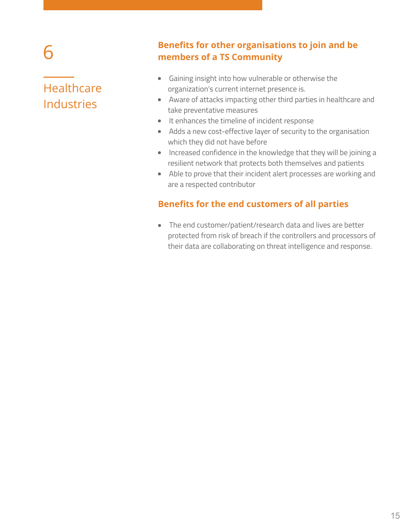#### **Healthcare** Industries

#### **Benefits for other organisations to join and be members of a TS Community**

- Gaining insight into how vulnerable or otherwise the organization's current internet presence is.
- Aware of attacks impacting other third parties in healthcare and take preventative measures
- It enhances the timeline of incident response
- Adds a new cost-effective layer of security to the organisation which they did not have before
- Increased confidence in the knowledge that they will be joining a resilient network that protects both themselves and patients
- Able to prove that their incident alert processes are working and are a respected contributor

#### **Benefits for the end customers of all parties**

The end customer/patient/research data and lives are better protected from risk of breach if the controllers and processors of their data are collaborating on threat intelligence and response.